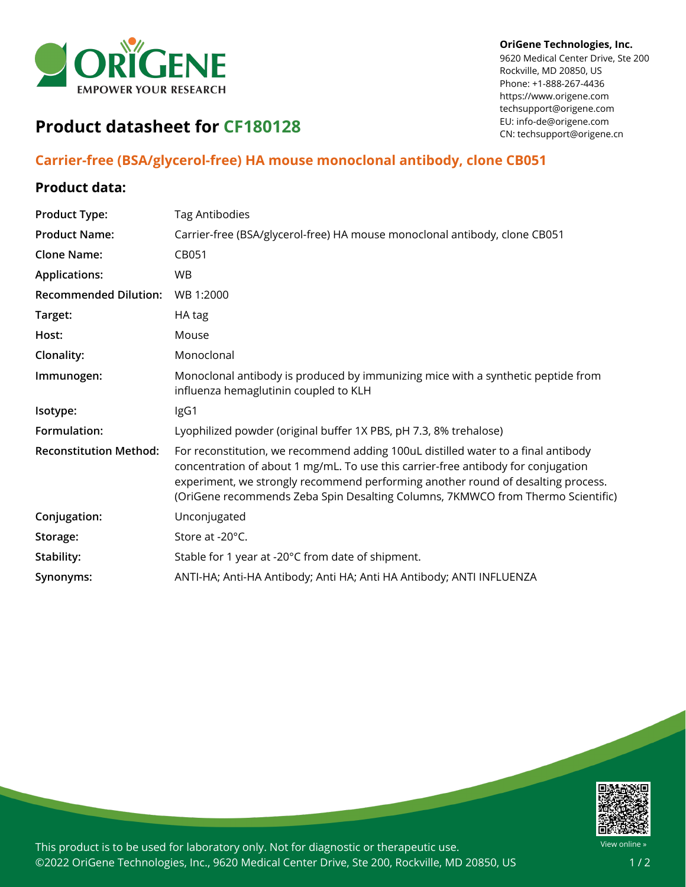

#### **OriGene Technologies, Inc.**

9620 Medical Center Drive, Ste 200 Rockville, MD 20850, US Phone: +1-888-267-4436 https://www.origene.com techsupport@origene.com EU: info-de@origene.com CN: techsupport@origene.cn

# **Product datasheet for CF180128**

# **Carrier-free (BSA/glycerol-free) HA mouse monoclonal antibody, clone CB051**

## **Product data:**

| <b>Product Type:</b>          | <b>Tag Antibodies</b>                                                                                                                                                                                                                                                                                                                         |
|-------------------------------|-----------------------------------------------------------------------------------------------------------------------------------------------------------------------------------------------------------------------------------------------------------------------------------------------------------------------------------------------|
| <b>Product Name:</b>          | Carrier-free (BSA/glycerol-free) HA mouse monoclonal antibody, clone CB051                                                                                                                                                                                                                                                                    |
| <b>Clone Name:</b>            | CB051                                                                                                                                                                                                                                                                                                                                         |
| <b>Applications:</b>          | <b>WB</b>                                                                                                                                                                                                                                                                                                                                     |
| <b>Recommended Dilution:</b>  | WB 1:2000                                                                                                                                                                                                                                                                                                                                     |
| Target:                       | HA tag                                                                                                                                                                                                                                                                                                                                        |
| Host:                         | Mouse                                                                                                                                                                                                                                                                                                                                         |
| Clonality:                    | Monoclonal                                                                                                                                                                                                                                                                                                                                    |
| Immunogen:                    | Monoclonal antibody is produced by immunizing mice with a synthetic peptide from<br>influenza hemaglutinin coupled to KLH                                                                                                                                                                                                                     |
| Isotype:                      | IgG1                                                                                                                                                                                                                                                                                                                                          |
| Formulation:                  | Lyophilized powder (original buffer 1X PBS, pH 7.3, 8% trehalose)                                                                                                                                                                                                                                                                             |
| <b>Reconstitution Method:</b> | For reconstitution, we recommend adding 100uL distilled water to a final antibody<br>concentration of about 1 mg/mL. To use this carrier-free antibody for conjugation<br>experiment, we strongly recommend performing another round of desalting process.<br>(OriGene recommends Zeba Spin Desalting Columns, 7KMWCO from Thermo Scientific) |
| Conjugation:                  | Unconjugated                                                                                                                                                                                                                                                                                                                                  |
| Storage:                      | Store at -20°C.                                                                                                                                                                                                                                                                                                                               |
| Stability:                    | Stable for 1 year at -20°C from date of shipment.                                                                                                                                                                                                                                                                                             |
| Synonyms:                     | ANTI-HA; Anti-HA Antibody; Anti HA; Anti HA Antibody; ANTI INFLUENZA                                                                                                                                                                                                                                                                          |
|                               |                                                                                                                                                                                                                                                                                                                                               |



This product is to be used for laboratory only. Not for diagnostic or therapeutic use. ©2022 OriGene Technologies, Inc., 9620 Medical Center Drive, Ste 200, Rockville, MD 20850, US